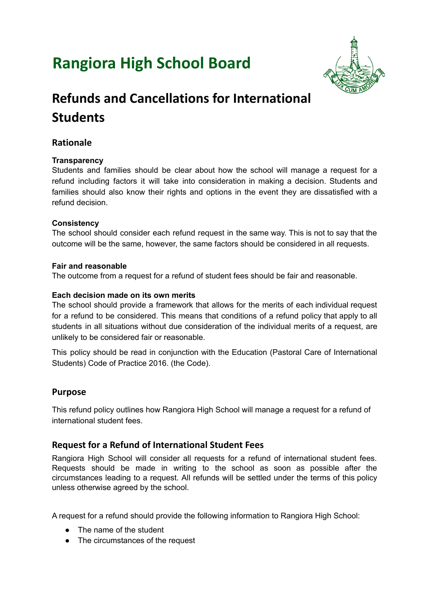# **Rangiora High School Board**



## **Refunds and Cancellations for International Students**

## **Rationale**

#### **Transparency**

Students and families should be clear about how the school will manage a request for a refund including factors it will take into consideration in making a decision. Students and families should also know their rights and options in the event they are dissatisfied with a refund decision.

#### **Consistency**

The school should consider each refund request in the same way. This is not to say that the outcome will be the same, however, the same factors should be considered in all requests.

#### **Fair and reasonable**

The outcome from a request for a refund of student fees should be fair and reasonable.

#### **Each decision made on its own merits**

The school should provide a framework that allows for the merits of each individual request for a refund to be considered. This means that conditions of a refund policy that apply to all students in all situations without due consideration of the individual merits of a request, are unlikely to be considered fair or reasonable.

This policy should be read in conjunction with the Education (Pastoral Care of International Students) Code of Practice 2016. (the Code).

## **Purpose**

This refund policy outlines how Rangiora High School will manage a request for a refund of international student fees.

## **Request for a Refund of International Student Fees**

Rangiora High School will consider all requests for a refund of international student fees. Requests should be made in writing to the school as soon as possible after the circumstances leading to a request. All refunds will be settled under the terms of this policy unless otherwise agreed by the school.

A request for a refund should provide the following information to Rangiora High School:

- The name of the student
- The circumstances of the request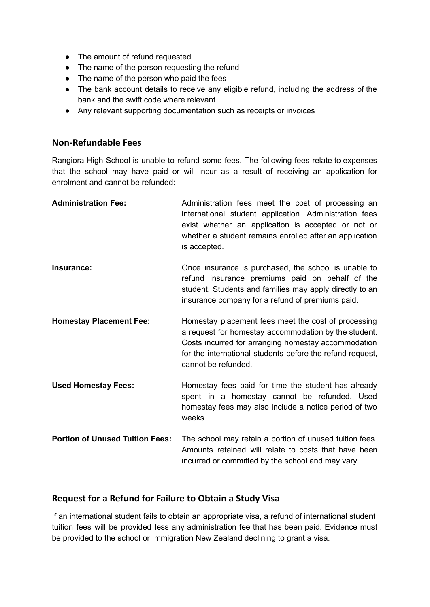- The amount of refund requested
- The name of the person requesting the refund
- The name of the person who paid the fees
- The bank account details to receive any eligible refund, including the address of the bank and the swift code where relevant
- Any relevant supporting documentation such as receipts or invoices

#### **Non-Refundable Fees**

Rangiora High School is unable to refund some fees. The following fees relate to expenses that the school may have paid or will incur as a result of receiving an application for enrolment and cannot be refunded:

| <b>Administration Fee:</b>             | Administration fees meet the cost of processing an<br>international student application. Administration fees<br>exist whether an application is accepted or not or<br>whether a student remains enrolled after an application<br>is accepted.          |
|----------------------------------------|--------------------------------------------------------------------------------------------------------------------------------------------------------------------------------------------------------------------------------------------------------|
| Insurance:                             | Once insurance is purchased, the school is unable to<br>refund insurance premiums paid on behalf of the<br>student. Students and families may apply directly to an<br>insurance company for a refund of premiums paid.                                 |
| <b>Homestay Placement Fee:</b>         | Homestay placement fees meet the cost of processing<br>a request for homestay accommodation by the student.<br>Costs incurred for arranging homestay accommodation<br>for the international students before the refund request,<br>cannot be refunded. |
| <b>Used Homestay Fees:</b>             | Homestay fees paid for time the student has already<br>spent in a homestay cannot be refunded. Used<br>homestay fees may also include a notice period of two<br>weeks.                                                                                 |
| <b>Portion of Unused Tuition Fees:</b> | The school may retain a portion of unused tuition fees.<br>Amounts retained will relate to costs that have been<br>incurred or committed by the school and may vary.                                                                                   |

#### **Request for a Refund for Failure to Obtain a Study Visa**

If an international student fails to obtain an appropriate visa, a refund of international student tuition fees will be provided less any administration fee that has been paid. Evidence must be provided to the school or Immigration New Zealand declining to grant a visa.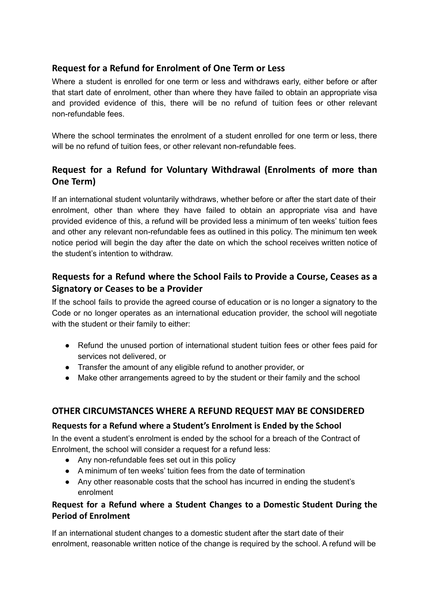## **Request for a Refund for Enrolment of One Term or Less**

Where a student is enrolled for one term or less and withdraws early, either before or after that start date of enrolment, other than where they have failed to obtain an appropriate visa and provided evidence of this, there will be no refund of tuition fees or other relevant non-refundable fees.

Where the school terminates the enrolment of a student enrolled for one term or less, there will be no refund of tuition fees, or other relevant non-refundable fees.

## **Request for a Refund for Voluntary Withdrawal (Enrolments of more than One Term)**

If an international student voluntarily withdraws, whether before or after the start date of their enrolment, other than where they have failed to obtain an appropriate visa and have provided evidence of this, a refund will be provided less a minimum of ten weeks' tuition fees and other any relevant non-refundable fees as outlined in this policy. The minimum ten week notice period will begin the day after the date on which the school receives written notice of the student's intention to withdraw.

## **Requests for a Refund where the School Fails to Provide a Course, Ceases as a Signatory or Ceases to be a Provider**

If the school fails to provide the agreed course of education or is no longer a signatory to the Code or no longer operates as an international education provider, the school will negotiate with the student or their family to either:

- Refund the unused portion of international student tuition fees or other fees paid for services not delivered, or
- Transfer the amount of any eligible refund to another provider, or
- Make other arrangements agreed to by the student or their family and the school

## **OTHER CIRCUMSTANCES WHERE A REFUND REQUEST MAY BE CONSIDERED**

#### **Requests for a Refund where a Student's Enrolment is Ended by the School**

In the event a student's enrolment is ended by the school for a breach of the Contract of Enrolment, the school will consider a request for a refund less:

- Any non-refundable fees set out in this policy
- A minimum of ten weeks' tuition fees from the date of termination
- Any other reasonable costs that the school has incurred in ending the student's enrolment

## **Request for a Refund where a Student Changes to a Domestic Student During the Period of Enrolment**

If an international student changes to a domestic student after the start date of their enrolment, reasonable written notice of the change is required by the school. A refund will be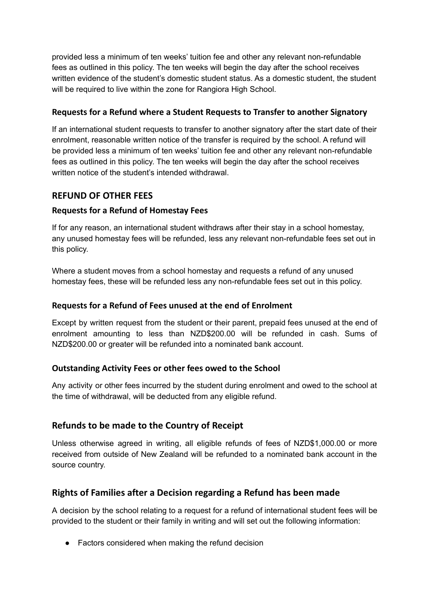provided less a minimum of ten weeks' tuition fee and other any relevant non-refundable fees as outlined in this policy. The ten weeks will begin the day after the school receives written evidence of the student's domestic student status. As a domestic student, the student will be required to live within the zone for Rangiora High School.

#### **Requests for a Refund where a Student Requests to Transfer to another Signatory**

If an international student requests to transfer to another signatory after the start date of their enrolment, reasonable written notice of the transfer is required by the school. A refund will be provided less a minimum of ten weeks' tuition fee and other any relevant non-refundable fees as outlined in this policy. The ten weeks will begin the day after the school receives written notice of the student's intended withdrawal.

## **REFUND OF OTHER FEES**

#### **Requests for a Refund of Homestay Fees**

If for any reason, an international student withdraws after their stay in a school homestay, any unused homestay fees will be refunded, less any relevant non-refundable fees set out in this policy.

Where a student moves from a school homestay and requests a refund of any unused homestay fees, these will be refunded less any non-refundable fees set out in this policy.

#### **Requests for a Refund of Fees unused at the end of Enrolment**

Except by written request from the student or their parent, prepaid fees unused at the end of enrolment amounting to less than NZD\$200.00 will be refunded in cash. Sums of NZD\$200.00 or greater will be refunded into a nominated bank account.

#### **Outstanding Activity Fees or other fees owed to the School**

Any activity or other fees incurred by the student during enrolment and owed to the school at the time of withdrawal, will be deducted from any eligible refund.

## **Refunds to be made to the Country of Receipt**

Unless otherwise agreed in writing, all eligible refunds of fees of NZD\$1,000.00 or more received from outside of New Zealand will be refunded to a nominated bank account in the source country.

## **Rights of Families after a Decision regarding a Refund has been made**

A decision by the school relating to a request for a refund of international student fees will be provided to the student or their family in writing and will set out the following information:

● Factors considered when making the refund decision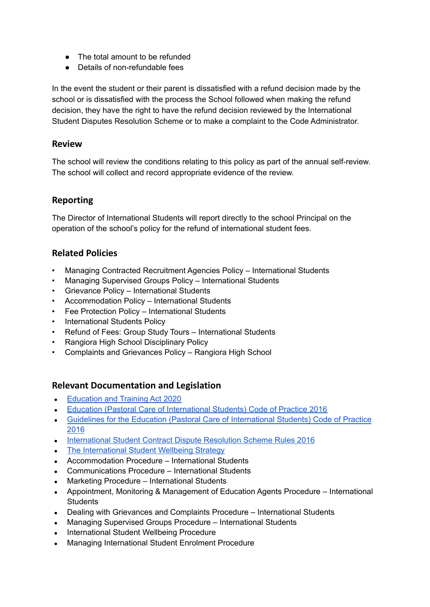- The total amount to be refunded
- Details of non-refundable fees

In the event the student or their parent is dissatisfied with a refund decision made by the school or is dissatisfied with the process the School followed when making the refund decision, they have the right to have the refund decision reviewed by the International Student Disputes Resolution Scheme or to make a complaint to the Code Administrator.

#### **Review**

The school will review the conditions relating to this policy as part of the annual self-review. The school will collect and record appropriate evidence of the review.

#### **Reporting**

The Director of International Students will report directly to the school Principal on the operation of the school's policy for the refund of international student fees.

## **Related Policies**

- Managing Contracted Recruitment Agencies Policy International Students
- Managing Supervised Groups Policy International Students
- Grievance Policy International Students
- Accommodation Policy International Students
- Fee Protection Policy International Students
- International Students Policy
- Refund of Fees: Group Study Tours International Students
- Rangiora High School Disciplinary Policy
- Complaints and Grievances Policy Rangiora High School

## **Relevant Documentation and Legislation**

- **[Education](https://www.legislation.govt.nz/act/public/2020/0038/latest/LMS170676.html) and Training Act 2020**
- Education (Pastoral Care of [International](http://www.legislation.govt.nz/regulation/public/2016/0057/latest/DLM6748147.html) Students) Code of Practice 2016
- Guidelines for the Education (Pastoral Care of [International](https://www.nzqa.govt.nz/assets/Providers-and-partners/Code-of-Practice/guidelines-code-of-practice-2019.pdf) Students) Code of Practice [2016](https://www.nzqa.govt.nz/assets/Providers-and-partners/Code-of-Practice/guidelines-code-of-practice-2019.pdf)
- [International](http://legislation.govt.nz/regulation/public/2016/0042/latest/whole.html#DLM6748772) Student Contract Dispute Resolution Scheme Rules 2016
- The [International](https://www.education.govt.nz/assets/Documents/Ministry/Strategies-and-policies/internationlStudentWellbeingStrategyJune2017.pdf) Student Wellbeing Strategy
- Accommodation Procedure International Students
- Communications Procedure International Students
- Marketing Procedure International Students
- Appointment, Monitoring & Management of Education Agents Procedure International **Students**
- Dealing with Grievances and Complaints Procedure International Students
- Managing Supervised Groups Procedure International Students
- International Student Wellbeing Procedure
- Managing International Student Enrolment Procedure